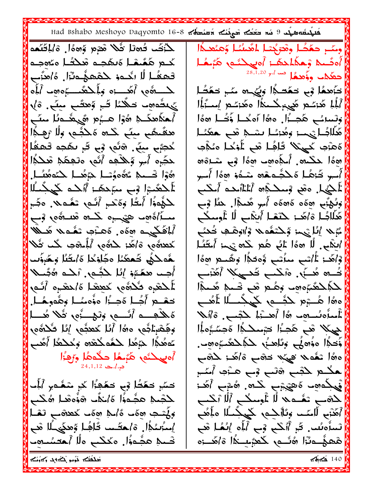Had Bshabo Meshoyo Daqyomto 16-8 xdripi xije xi 9 مَوْمُعَاتَ بِمَا 9 مَلْمُ Arabo Meshoyo Daqyomto 16-8 ومئم حككا وقتوجها لمعشا وعنعدا َلْأَبَّكَ دُونَا ثَلَلَّا ثَقْرُمْ وُوَوَّاً. وَٱلْمُخَلَّمُو أَهتُما وَحكَلِمَتَ أَهرَ الْمَجْمَعِ هَبْعُمَا<br>حقَمَا وَوَقَعَهَا <sup>مَسَاس</sup>ٌ 28.1.20 كحم هَمَيْهَا وَيَعْجِبُ شَكْتُنَا وَيُوجِبُ تَعفُّا لَّا انْحوز حَقْعَهُ وَنَّا. هُ/هزَّب لمستؤه أهُسنه ولمُمحقَّسةٍ وهِبَ أَلَمُهِ حَزْهِمَا فِي حَمَّدَـٰهِۢا وَيُحِـِهِ مَـٰـِ حَمَّدًٰۖـا أَلَمِلْمُ هَٰذِكُمْ هَٰذِيخِ كُمِنَاْ وَهَٰذِكُمْ إِمِيَّةً لِمَا آهنگها الله عليه مؤسس المؤه المستمكنه المستقررة الله عليه الله عليه الله عليه الله عليه الله عليه ال وَتَسْتَلْبُ هَٰذِيًّا. وَهَٰا أَوْكُمَا وَّذُا هَٰوَا هَدَهُم مِنَّ كُلُّهِ مَكْشُمٍ وَلَّا رُهِــٰهِ! أَهْلَاجُانَ مِنَ وَهُزْسُا بِشِيءٍ هُبِ حَقَّبُا ءَهْبَ حَيِيْكَ قَاهُـا هُـ ـَأُوْحُـا مَـٰذَهِــ لُحجَّبٍ مِيلٍّ. ۞نُّمٍ فِي كُبِّ نَمُّجِه كَمَعُلًا حَجَّرِه أُمِرٍ وَجَحْلُهِم أَنَّهِ وَتَعِمَّهِ مَحَكُما ادة المكتدى ألمؤهده دة أوها تساؤه أُمِير تَحْرَهُما هَكَجُــمـڤـرَه هَــهُوْ ﴿ وَهُ أَمْــِر هُوْا خَـــمِ مُعُمودًا جَمِعُــا حَمَعُنُـا. لَمَحْيَا. ٥شى وْمىحْدّْ9، أَلْمَأْمُحْمْ أَسْكُبُ تُلَكِّسُبْرا وْبِ حِبْحِكَ: ٱلْكُمْ كَهِكْمِلًا لحَقُوءُا أَعْقُلَ وَهُنْدِمٍ أَنَّــٰهِ تَـقُــٰمَـلاً وَجُــِرٍ وَلَّٰهُمْ وَهُ وَهُ وَهُ أُمِنٍ هُمَّةًا. هَٰلَ وَمِنَ سألفَّوه عيْبِ كَلَّه مُسْتَوْمٍ فَي هَٰلَاجُا هَ/هَـٰ: حَتَمَـٰا أَبْدَٰبَ لَا غُوسكَ أَلْمَكْنِ وَهُوَهِ. هُصْبَتِ تَعْسَمْهُ هَسْلَلًا سِّرِ لَا يَ مِنْ وَلِكَتَمُوهِ وَأَاوَهْدِ ذُكْرُ } كمعدقُومِ وْاهُدْ لِحْدُّومِ ٱلْمُعْشَوبِ لَمْتَ ثَقَلا اَبْتُمْ أَسِنٌ مِكْ هُمْ كُلَّة أَمْمَ لَّا مِنْهُمْ إِنَّا مِنْ أَسْتَفَاءُ هُدكُمْ خَعفَنَا دَجَاوَىٰا دَٰا مَثَىٰا وِحَرِوَٰب وْأَهَٰذَ ۚ ٱلْآَيۡبِ مِبۡاتَبِ وَۚدَٰذِہَٰا وَهُمِع وَهِۚ أَ أَجِب همَّيَّةِ إِنَّا لِكَجَّمٍ. آلَكَ 7ُجَّمِلًا لْمَحْشِرِهِ فَكَلْمُهُم كَعِنْقَا هَ/حَشَرِهِ أَنَّبِهِ لِكُمُحْكَمُوهِ وَهُـم هُـم خَـمةِ هَـمةِ ا حقبو أُجُبا هُجِبُّا وفُوسُبا وِهُومُبا. وَهُمَّا هُــِبْرِمِ حَجَّــوٍ كَبِيجِّــلًا لِمُعُــــرٍ هَ لِلْأَهِـــهِ أَنْـــهِ وَنَهْـــزُهِ `قُلا هُـــا أَسِدُّهَ نُسْمَدَ هُمْ أَهْسَاءُ لِلْجَسِعِ. هَٱلْلَا لمكلا هم هُجِزًا حَبْسِكِمَّا هُجِسَّرُهِ أَ وَهَّمْ ٍلْأَمِّهِ وَهَٰا أَمَّا كَعْجُمٍ }ِنَا فَكْرُهُمٍ حَمَٰدِۢٚٱ ۖ حَبَّمُا ۖ حَـفُوحُـٰا وَحُـٰحَمًا أَمَّـب ذَكَمُ ا دَوُهِ فِي وِتَلِهِيَ وَلَكُمْ حَكَمَتِهِ مِعْتِ أويها ورَبِّها الْمَهْرَبَّةِ وَالْمَعَامِ وَأَنْ الْمَسْتَمَامِ وَأَنْ الْمَسْتَمَامَةِ وَالْمَسَام 6/6 نَعْمَلا فِيَلا دَهْبِ 16/هُــز لِاهْمِ ـْمَكَـٰـٰمَ كَـٰتِـُبِ هَنَّـٰبٍ فِـَـِ مَـٰٓوَٰبٍ ٱمَنَّـٰـہِ حَمَّدٍ حَمَّحًا فِي حَمَّجَۃًا کَہِ مَمَّـٰء ۖ اُلَمَـٰ فَهِجُمُوں مَا عَلَيْتِہِمِ مَسْتِمِنَ مَا أَهْدَمِ مِنْ الْمَحْمَدِينَ َكْتُمِكُمْ هَجُودًا هُ/نكَّبٍ هُؤُوهْكَ هُكْب لِحْتَىبِ تَعْسَمَهُ لَا نُمُوسِكُمِ ٱلْا ٱنْكَسِمِ أهَنْهِ لَلسِّم وَتَأْلَيْهِ كَهِجْمَلًا هِلَهُم وَيُّسْبُ وَهُمَا هُمْلِهِ وَهُمَا نَحْمَدُهُمْ لَقَالَ إِسْرَٰنُكُمُّا. 16ْكَسَى قَاهُـا وَْهَدَّىٰ اللَّهُــــوَ تَسأُهسُ. ثَمِ ٱٱنْكَبِ فِي ٱلْمَا الْعُمَا شَي ضَّىمْ هَجُّوزًا. مَكْكَبِ وَلَا أَحْصَنُتُوبَ هْهِؤُــه، الْمُــُــمِ لَكْمِبْـنِدَا هُ/هَـــزه تلاءُ مام الله على الله من المسلم المسلم المسلم المسلم المسلم المسلم المسلم المسلم المسلم المسلم ال  $\pi$ di $\leq 140$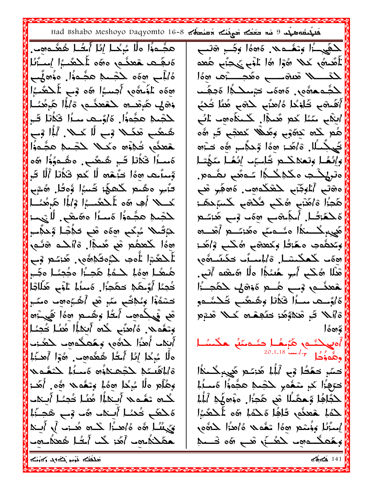Had Bshabo Meshoyo Daqyomto 16-8 ملتحله المحنوم المستعمر بالمحتفظ بن المحموم بالمعامل هجُّـهۏُا هلَّا يُرِيُّـا إِبُا أَيضُـا هُعْـُـهڢِـ. لْمَكِيبُ وَتَعْــمَلا. 656 وَجَــرِ 26سَــرِ مَّلِكُتْتَ هُعَدَّے وَوَّهَ تُلْكَعُبُمْ! إِسْتَرْنَا تَأْهَدهُم كَذَلا هُوَّا هُ اخْوَى يَحِبَّى هُمْهَ ةُالْمِبِ 200 كَجْمِيمْ عَجُّدَوُّا. 30%َ بِ للقاعلا تعلقت معجب ثعاره الْجُمْعَةُ مِنَّةٍ أَجْسَبُراً هُو فِي تُلْكَعُبُراً لْخُدْهِ وَهُورٍ. وَهُوَد حَبْسَلَـٰهُمْ وَجَعَـٰد وَهْلِ هُرِهْدِهِ حَقْعَدُومِ وْالْمَا هَرِهُنَا أَهَٰـهُم خَاوْىُـا هُ/هزَم كلهُم هُلَا خُدْبُ لِكَجْبِهِ عَجُّوزًا. وَ*ا*َوَّىكَ سَـرًا فَـُأْثَلِ فَـر ابِلَامِ مَمْلاً كُمْ هُمْ إِلَى كَلْمَذَاهِ عَلَى اللَّهِ شَمَّب مَكَــلا وْبَ لَا حَــلا. أَبَٰلَا وْبَ هُم گُده نَدِهُوْمٍ وَهُلُلًا كَمِنْتِمٍ ثُمِ هُء هَعنُوم تُكِلْوُه مَكْلًا لِلْجُمِيعِ هِجُووُ تَّحِيثُ اللَّهِ وَأَهَدَ هَ وَاللَّهُ عَلَيْهِمْ بِهِ وَاللَّهِ وَاللَّهُ وَاللَّهُ وَالَّذِينَ ەَمىأَا تْݣَالْا تُبِ ھُىھُىي. ەھُـەوُوْا ھَە وإنعُا وتعملكم ذَاسِيَا إنعُا سَوْسًا وَّسلَبِ وَوَا حَزَهُو لَا كُمْ خَلَاظٌ أَلَّا ثَهِ. ەترىڭجا ەڭجىڭىدا ئىمھىي بېقىم تَنْسِ وَهُنُعَ كَتْحَكِّرْ خَسْرًا وُوَقُلْ هُمْنِ ەۋتىم آناوجە كېڭدەي. ەەھبر شى كَــــلا أُهِـ هَء تُمْحَشَـــبُرا وْالْمَا هَبِهُنَــا هَجُرُا ةَاهَّنْهِ هُكُم فَكَلْهُم كَسَيِّدَهُـ: لْحَمْدِ مِجْمَعُوا مُسأل مَعْمَى لِلْآيَمِينَ ەَ كَمَرْتُـا. أَجَدُ شَمَّـ وَيَ - وَجِبَ هَرْجُـــمِ ْحَرَّضُلا مُرِكَى ۞ وَهُ ۚ قَلِي حَذَّقَا وَحَذَّمَ هَيْبِكُسْمَاْ وَشَعْمَهِ وَهَٰزَسُــمِ أَهْسِـهِ وَكَعَقُوبَ وَهُرْتُمْ وَكَعَدْوُنِ ۖ وَأَهُدَىٰ ۖ وَأَهُدَىٰ وَهُمْ كَعِمُعٍ مَنْ مُسْتِمًا. وْأَسْلَمْ هَنَّمِ لْمَلْكَمْبْمَا لْمُومِ حَيْوَفَكُمْ هُوَى لَا تَكُمْ وَبِ ھەت كەكىشا. ةالمىساّب خكسّىۋە هْلًا هُكُم أَمِرٍ هُنْدُأًا هِ لَّا هُنْعُنُهُ أَنْبِ. هُبِعُبا هِهُا لِحِـهُا هُجِـزًا وجُجِبًا وجَبِ ْخُجِبْا أُوَّىهُمْ حَمَّجُوا وَسَلَّا لِّوْبِ هَٰلَاجَا هَعدَّے وَے هُـــع هَوْهُ لِي حَمَّحِـــزَا حَسْدُوْا وِمُكِلِّكُم مَيْرِ هُمْ أَهُيَّوِهِ مِمْيَرِ هُ/وُ؎ مىأا تْلَأْتَا وِهُبْكُبِ خُلْسُوو هَمْ نَهْجُدُهُ أَمْعًا وَهُمِهِ هُمَا فَيْ نَهْمَ ةأاللا ثَمِ هُدْؤَهُا حَنُجِعُـهِ كَمِلاً هُــْمِ وَتَعَدَّى دُ/هُنَّى لَاه أَبْتَابُلَ هُنُا تُجِئَا  $1604$ أبلام أهنًا لمشَى وهَعكُموم لمعُنم أەبىر كئىم مەركى مەدىبە ئىستىلىكى ئىستىلىكى بولسى بولسى بولسى بولسى بولسى ئىستىلىكى بولسى بولسى بولسى بولسى بو<br>مۇمۇكىل بولسى 1.18 مىليا بولسى بولسى بولسى بولسى بولسى بولسى بولسى بولسى بولسى بولسى بولسى بولسى بولسى بولسى ب هِ لَا يُبِكُلُ إِنَّا أَبِحُلُ هُعُدُومٍ . وَوَا أَهْهَا ةالمفتك للجعناؤه ةسألم لمتقمح حَسِّرِ حَمَّحًا فِي أَلَمْ! هَٰزَعُـمِ هَٰجِيَٰرِكُــٰذًا وَهُٰأَمْ وَلَّا يُبِكُلُّ هَوْمًا وَيَـقُوبُ هُوَ ۚ أُهَٰدَ حَرَّهُۥۢۤا ۚ كَبِر مْعُمْدِ حَجْمَةِ عَجُمْوُا مُسْلُمُ لْحُده تصُّـمِـــلا أَسَلَمْلُمْ الْمَسْلِمْ تُحِمْـلِ أَسَلَامِــ لِحَجَّاهُا وَحِمْمُلًا مَى هَجَرًا. وَوَوَكُمْ أَلَمُلُّهُ هَكْتُم تُحْسُلُ أَيْتَمَا هُا وْسَ هُجَنَّهِ لحَمْلِ هَعنُوبِ تَاهُل مَحْمُلِ هَء تُلحَقَبُوا فَيِعْنَا هُ٥ هُ١هَمْ ابْتُ هُدَا كَــْ لَهِ مَ أَبِـنَا إِسْتُمَا وَوُسْعِ هِوَا يَعْمِيهِ وَأَهْدُا لِحَدُّوبِ همَحْدُمُتُمِن أَهُمْ كُبِ أَيضًا هُعَكُسُوب وَهَمَكْـــدَمِي لَمَمْـــَنِي شَــبِ مَهْ، شَـــمِدْ تلاءُ مام الله على الله من المسلم المسلم المسلم المسلم المسلم المسلم المسلم المسلم المسلم المسلم ال  $\sqrt{4}$   $\sqrt{4}$   $141$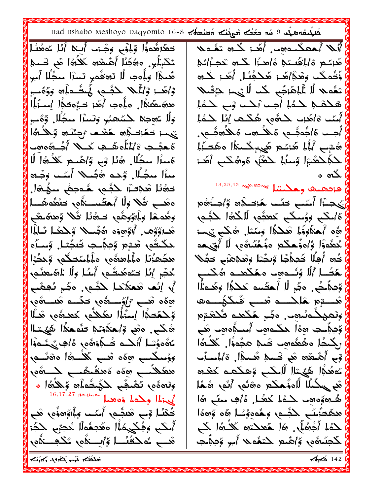Had Bshabo Meshoyo Daqyomto 16-8 ملتحله المحنوم المستعمر بالمحتفظ بن المحموم بالمعامل أألم أحصك حوص أهُد; كمن تعُصمه حَكَدَهُدَوُّا وَّلِمْوَى وَجَــزَبِ أَيَــٰهَ أَنَـٰلَ عَمَدُنَـٰلَ عُكْبِلُبِ وَهُجُمُّا أُهَبْعُوه لَكُمُّا مْعِ خَسْمِ هَٰزَسُم ةَالْمُفَسِّدْ هُاهِدًا لَكُلُّهُ تَحِدُّاتُمْ هُمجْاً وِلْمُحِد لَٰا نَحْفُمِر نَسْأَا مجُّلًا أُمِر وَُثُمِكُت وَهْدًا هُدْ هُكُمُواً. أُهُدَ كُلُّهِ وْاهَد; وْالْمَلَا لِكَتِيمٍ يُمِثَّـهِ لَهِ وَوَّةَـبِ تَعْمَدُ لَا غُلِمَّرْجُمٍ كُبِ لَّا يَهِمْ حَرَّضُلاً هدهٌ حَكْندًا. وأُوبَ أَهَدَ حَجَّوفِهِۢا إِسْتَذَٰاْ هْكْشْمْ حْدُهْ أُجِب ٱلْحْب وْبِ حْدُهْ أَمَّد ةَاهَّذِ لِحَدُّهِ, هُكُمَ إِلَّا لِحَمَّا وَلَا مُحِجَمٌ حَسَّمَبُو وَتَسَالَ مَجَّلًا. وَّهُبِ أَجِب ةَاجُوجُسِهِ هَلْكُسُ هَلْكُوجُسِهِ. بْهِمْ حَكَّرْحَكُمْ هَشْكَ رْجِئْلُهُ وَلِلْكُمُّ كَمْقِيبْ وْالْمْلُوهُكُ لَمْسَلًا أَجْلَةُهُوهِمْ اشْتَهَا وَالْمُسْكَبِينَ مَتَدَارَ الْمُلْكَمَةَ وَالْمُسَامَعَةَ مِنْ ەَسِرًا سِجُلًا. ھُنُا فِي وََاهَّىمِ كَلَّـٰھُا لَّا للْمَحْشَرَا وَسَلَمْ حَصَّرَ هَ وَهُكُبِ أَهَدَ مىرًا مجُـلًا. وَّحـه %جَّـــلا أَمَّـــا وَجْــ3  $\sim$  రాష فادهنها وهلمشا محدده المحدد 13.25.43 حَدُّنَا مَٰذِيٓ، حَثِّمٍ حُمجمٌ مِجْدَا. ەھَب ْ تُمْلَا وَلَٰا أُحْصَّىسْتَدُّەر حَبُّعُهِ صُلَّ أَيُّجِبُّا أَمِّنَبٍ حَلَّمٍ هُزَجَبُّاهِ وَٓاجِبُرْهُمْ هَ الْكُمْ وَوُسْكُمْ كَعْجُمْ لَلْكُمُّا كَجُمْ ۖ وهُدهَا وِبْمَاوُوهُم حَـهُنُا ثَلا وُههَمْشَ بَّهِمْ أَحْذَابِهُمْ تَعْلَيْهِ وَمَمْثَلَ لَهُكُمْ يَحْمَدُ هْـاوُّوُّه. ٱاوُّهِۏه هُكُـــلا وُللفُـا تُـالِّا للكلثُم، شَبْمَ وُمِكَّسِكِ ضُجَّمًا. وُسلَاه مُعثَّدَۥ ۚ أَوْاهِ مُعَظَّمٍ وَخُمُنَّدَةُوا لَا أَيَّنِهُم هجُعْزُلَا هِلْبُلِهِ هِمْ هَلْبُمُحَكَّمٍ وَّحَجُرُا َّدُه )ُهِلًا خُجِجُمْ وَبِّجْمَا وَهَٰجَمْنَى حَجَّلًا هَٰتُـا ٱلْا وُنُـــەٯِب معُكْعـــە ھُكْـب لْحَجْمِ إِنَّا حَكَمَحْتُمِ أَمَّا وَلَا £5 مَعْنُمِ لْ إِنَّفْ شَعَكْتُمَا حَجَّمٍ. وَجُمِ نُحِقَب وَّحِذَّمَٰـِيٌّ وَجَّرٍ لَّا أَحْقَـٰتَ تَحَكُّدًا وَهُـٰدَلَّا وَهُ مَلْكَ رَاكُمْ مِنْ مِنْ مَكْسَدِهِ مَعْلَمَةِ قسوم هلكسم قبس فككهسمه وَّكْمُحَمَّا إِسْئَلًا بِعَكْفٍ كَعْدَةُو، مْخْلَل وتعهلْمسُمب مجَّ هُكْعده فَلْعْتَبِهِ الْمَكْمِ. وقْعِ وْاْهْلُوْمُمْ تْلُوْهْهَا لَّكَيْمَال وَّحِدُّمَتِ 160 حَكْدەت أَمِيدُّ00 - شَمَّ مُعْمِوْسًا ٱلْكُمْ خُكْلُوْهُمْ وَاْفِي مُحْمَوْا رِجُمجُا مِعُعُّدِهِ۔ ضَمِ عَجَّدُوا ۚ كَلَّمُوا ۖ ووُسكُب ھەە ھُب كُلُّــةَا ەھْـُــمِ وْمِ أَهَْتَقُهُ مَّعِ خَسْمٌ مُّسْمَّالِ وْالْمُسَلَّب ھَھُلاَّبَ وَہُہ ہُھنَھُب کے ہُور عَمْدِهِ الْحَيْمَالِ لَلْكُبِ وَعِكْمِهِ كَعْدِهِ لَّٰهُمْ رِعَنَّا الْمُؤْهَدَ وَهُوَ الْمُكْرِرِ مِنْهُمْ الْمَكْرَرِ مِنْهُمْ الْمَعْلَمَةِ مِنْهُم وْلَمْقَى نَصَّفُ كُهُشُمْلُمْ وَْكُلُمَا \* لمخال وحمد أحداث 16.17.27 اھُـــووُومِــ كَـــمُـلِـ كَلَمَـــلِـ مُاهِــ مِنَــحِ وَا تُحْتُىٰا ٱبِ مُعْجَمٍ ٱمِّــَـ وَلَاوَّهوْهِ مَــ هَهُدَّنَبُ لِنُصَمٍ وَهُوَوُنُا 6َهُ وَوُوَا أَمكَــلا وَهُكَــلِكُمْ أَ مَعْجَمَّـهُ الْحَجَّى ۖ حَجَّـٰ; لْحُمْلِ أُجُمُلًم. مُا هَعْلَـْتُم لَكُـمُا كَبِ مَبِ شَكْتُفُـُـا وَٱبِــٰذُهِ ۖ تَكْفِــٰذُهِۥ كُجِنِّيةُمِ وَاصُّمِ كَتَمُّمَكَ أَبِ وَجَدِّبَ تحنفته بالمحافظ بنقطفة  $\frac{142}{142}$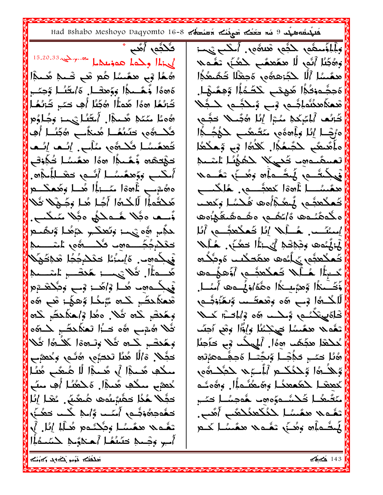Had Bshabo Meshoyo Daqyomto 16-8 ملتحله المحنوم المستعمر بالمحتفظ بن المحموم بالمعامل

ثَلْجُم، أُمَّى ْ 15.20.33 mai Ladigas Lad, 1 هُمُّا فِي هِمَّسُا هُمْ شَي كَسْمُ هُسْمَّا كَاهِكًا وُخَصَـٰهُا وَوَهِدَا ۖ وَاسْتَنَا وَجِنَـــِ خَرْبُهُا هِهَٰا هُجَنُا لَهُجُبُّا أُڢ حَيَّ خَرْبُهُـا رَّهُ مِنْكُمْ هُــٰجْلٌ أَيْضُلُّ يَبْعَ وَجُـٰلُوُمْ ثَكْــةُى، حَنُنُهُــا هُـنذَـــ هُجَنُــا أُڢ تَحفَّمَسُـا ثَكْـرَةُورِ مُأْلَبٍ. إِنُـمَا إِنْـم حَهْدَهُه ذُهُــداً اهدًا مَعُــسًا تُـدِّذِتْــ أَسْكَبِ وَوَُهِمُسَا أَنُسِهِ حَشَـالِمُبِهِ . ەھْتېپ غۇھادا مَسْنِدًا ھُسا وكُمكىم هَٰلاَثُم{ْا لَٰاحُلّٰہُا أَجُـا هُـا وَجَـٰهُلا ثَلا ؤْسِعَا هَيْلًا هُــٰهَـٰكُلُّهِ هَذَٰلًا مُتَكَسَبٍ. لْمَكْبِرِ وَهُوَ يُهْدَ وَتُعَكَّبُوا جَرْهُمْ وَتَعْمَلُوا وَالْمُحْمَّمِ فَيجْدَوهِ۔ ۚ هَ إِسْنُمْا حَدْدَبِجُجُا شَدْخَمُكُمْ ۖ هَـــوَلَمْا. تَكَلاَ يَهمـــز هَدَفْــــز لِمُمْـــمةِ فَي كُـــدوب هُــا وْاهُـــ: وْـب وَحَبْكَتْــْرِم تَعْمَلُهُ حَكَّمٍ حُلَّاهٌ شَهْدًا وَعَذَا قُلَّى وَهُ وَهَٰدِشْہِ لَاہِ نَفَلاً وَمُطْ وَاِحْتَکْمَدِشَہِ لَکُہ ُقُلا شُمْنٍ ، شَه حَـزًا تَعَكَّدَكَــِ لَحَـدَّهِ وَهَٰدَهْـــ ۚ كَـــده `ظَلَّا وَتَـــ30 ۚ كَلَّــدُّهُ أَكْلاً حَجُّلاً. ة/أَل هُنُل نَدحَبُّوهِ. هُنَّـهِ. وَكُعثَبِ مَنْكُفٍ مُصَدًّا ﴾ مُصَدًّا لَّا هُنْفَتِي هُنُا. مُعثَبِ سكْفِ مُعَجَّلٍ هَكْمُنَا أَفِ سَبِّ حَجَّلا هُذُا حَمَّيَّسُوه مُحَمَّى مُعْدًا إِنَّا حَقَّدَدِهُوْشُمِ أَمَّت وَّامِلِ كُنت حَقَّتُو تَعْـٰه لا هَمُـُـنُـا وَتُكْـُـهِ وَلَٰلَّهُ إِنَّا. ﴾ أُمِي وَجْمِهِ حَتَّمَتُهُا أَحْمَدَوُمِهِ كَسَّمَةُ أَ

وَلَمِلْغُمِيقَ مِنْ الْمَحْمَدِ مِنْ الْمَحْمَدِينَ الْمَحْمَدِينَ الْمَحْمَدِينَ أَوْهُجُلًا أَنَّهِ لَا هِمَعْمَى لِلْعُـَٰٓ يَهُـٰٓءَ ۞ همَّسُا ٱلْا حَجَّرْهِ، وَهُ الْحِمْلَا خُصُمْكُم ەَججَّـەزىكْبا مَّدېكَــى كَتَـــەْباُ وَجِعَــوْــا. تَعْمَلُاهِدُنُمَائِسُو وَبِ وَُحِذْشِهِ حَسْفُلًا خَرْبُم ٱلْمَيْكِمِ مُبْرَا إِيَّا هُجُمِي حَجَّمٍ وَرُضًا إِنَّا وَـأَرْهَوْهِ مَكْسُفَــبِ كَـهُجُـــٰهَا ٥.أَمَّىعَبِ حَجَّـمُدًّا. كَلاَّهُ| وَبِ وَحكْعَا تعسقَىدەت تُنيكلا للفۇنُا لمتىم تَهْيَكْتُبْ مِنْسَمْهُمْ وَهُـــَةٍ مَسْتَمَىٰ مَسْتَمَــهُمْ مَعْسُدا £100 كَمَجْدوم. هُلِكْتَبِ خَمْكُعثُمِ لَمُعُجْلُوهِ فُكْسًا وَكَعْب مَكْمَضُمْتَ وَٱسۡطَىٰ مِعۡـفَضُمُوۡمِنَا مِنۡمَـفَضُمۡنَا مِنۡمَا مِنۡمَا مِنۡمَا مِنۡمَا مِنۡمَا م إمسْتَــب ـ هُـــأَلا إِنَّا تَـمكُعثَــم أَنَّا صْلَحْمَدُ وَجَمْحَمْ أَيْسَنَأَا حَمَّيَّ. هُـأَسْلا ضَمْكُعثُم، رَبُّكُمُ مَعَكَّفٌ مَعْكُفٌ مَعْكُمَةٌ تَحْبَلُهُ هُــأَلَمْ تُعَكّْعَثُمِ } أُؤُهِقُ ءها وَّخَـــْـذَا وَّهيَّىـــدَّا هِهَّهُ/وَيُــهِ هَ أَمُـــا. لَّالْحُــدَّا وْ؎ رَهُ وَشَعْفَــب وَّىغَزُوْجَــم خْلَةَ بِيَنْكُسُمْ وَسَلَّسَتْ رَهُمْ وَالْمُحَسَّرَ كَسِلاً تعُديد محمَّسُا حَيْكِسُّا وَإِذًّا وَهْدِ أَجِبُ مُحْتَفَا مَجَمَّد وَّهُا. ٱلْمَحْكُ فِي حَرَجْنَا هُنُا حَمَّــ ٖ دَجُّـَــا وَۡتَــَـد هَجِفُـــومُ ِنَـه وَلِحُدُوا وَحِكْكُم ٱلْمَسِيَا لِحَجَّلُ وَوَلِ كعفا للعُمعنا وهُععُنُماً. وهُءَت مَتَصَّطُ لَكُلْشُـدَوُّە۞ حُدَمِّـا حَنَّــر تَعْدَلا مَعَسُلِ لِمُلَامِلُلْمَنِي أَمَّى يُحَدُّدِهُ وَهُــَ نُمُّـدِهِ هِمُسُــاً كَـــمِ

حَدُوْمَة مِرْحَمَّةَ بِمَا مِنْ حَمْدُهُمْ

 $\pi$ di $\leq 143$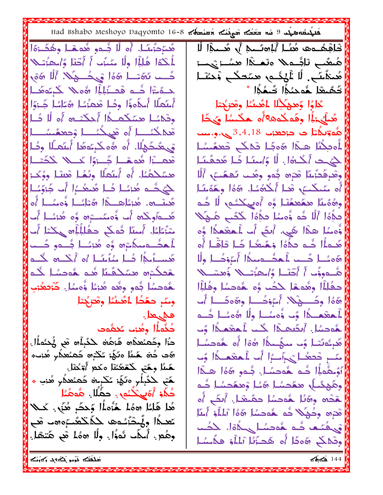Had Bshabo Meshoyo Daqyomto 16-8 ملتحله المحنوم المستعمر بالمحتفظ بن المحموم بالمعامل هَٰدَمِنَٰٓئَیۡلَا ۚ أَو لَٰلا جُےو هُوهَـٰل وِهُکَـٰزَۃَا خْلَقِتُ وَهُ مَثَلِ ٱلْمُحَسِّمِ ﴾ مَّحْمِلًا لَٰلَ لِمُكْمَا هَٰلِمَا وَلَا سَنَنَتِ أَ أَخْتَا وَٱسْعَنُتِي ۖ حَــــا مَا ٱ مَـٰلَى ۖ ـــوَ ٱ مَـٰلَا مَـٰهَ هُمَذَّمَنَـَـ ﴾ لَا غُلِجَـُـمِ هِمَحكَــ وَحَمْسَــا حَدَّثَرَا ذُے فَصَزَٰلِهُمْ الْمُعَمَّلِ كَرْعَوَهُمَا ا `كَهُىقْا هُەجىُمْ! ثَىمْكُلْ \* أَسَّمَلَا أَحِذُهُوا وحُل هُجِئُوا هُمَّكَ جَنَوَا ِّدَاوُا وَمِدِيكِيَّاا امْحَسُّا وَمْدَجْتَا وثقلنا مسَكَعِيدًا أَحكتِيهِ أَو لًا ضَا اَهْنُ السُكْمُ الْأَمَرُ مَكْمَعًا فَيَكُلُّونَ قدد كنا أه قي كُنا وَحَعَمُسُهَا  $\sim$ هُوتِردُمْ دار من 3.4.18 فَي هُدَكُمْ الْمُعَامِنُونَ مِنْ الْمُحَمَّلِ وَحُمَّا لمُوحِكْنًا هِـذَا هُوجًا شَمْكُمْ شَعْعُسُـأَ قعصاً قُومَها جُسوًا كُمِلًا كَكْتَبَا لِكَيْتَ أَنْكُنُوا بِ لَا وَاسْتَا صًا هُدَهَّسًا هِمَكِمُمُّا. أَو أَعْمَا وَنُعًا قَعِبًا وَكُمْ وقَدِقَحَتُنَكُل قَدْرَهِ فَقُو وَهُبَ تَحْكَمَنَّى ٱلْلَّا لِكَيْدُو هُوَسُل هُـا هُبِعُنُوْا أَبِ جَوَيْنَا أَه مَسْكَمَىٰ قَدا أَحْدُمُهُا. 56أَ وهَفَسَا هُنْشِيهِ. هُزْءُلْهِنْدُا هُبْلُنَا وُوْمُنَا أُو وَهُمَّىنَا مِعْجَمَّىْا وُهَ أَهْلِكْتُمْ لَّا خُتْ هُـــوَلُوحُــرَه أَب وُومِنْمِــــرْه وُو هُـزئـــا أَب حَذَّهُ! ٱلَّا خُم ذُومُنَا حَذِّهُ! كَكُبَّ صُنَّىٰهَا مْتُمَامًا. أَمِيًّا ثُمِّكَ حَفَّالُماً وَحَدَّثَ أَبْ وُّوسُا هِدًا هَيْ. أَبِضَ أَبِ أَحْقَقِهُا وُو أهدُّــــمــدكمــْرَ، وُه هُـَـْــَــل بُــَـــمو كَـــب هُدءاُ! ثَـد دداُهُ! وَحَمَعُـا كَـا تَاقَّـا أُه هُستنَاهُ! خُلّا مُنْشَل اه أكْت هُــه وَوَصًا دَّب الْمَذَّدِمِيثَا أَجْوَدُنَا وَلَا هْمِكْتَرْهِ مِسْكَفِّعًا مُّد هُوصُل گُو هُدوؤُك أَ أُحْسَلَ وُاعِفُرْتَكُمْ وُمِسْكُمْ هُوصِمًا فُووٍ وهُو هُزِمًا وُومُمَا. كَرْبَعُوْبِ حَفَٰلِمَا وَهُدِهَا حَجُبٍ وَّهِ حُوصِبًا وَقُلِّهَا ومئر حمَّحُا لمعُسْنًا وقتوجُنا رَهُهُ! وحُسِيْلاً. أُمْرُوحُساً ورَهُوحُساً أَب أهقمكا وًب وُوجُنا ولَا رؤُوجًا كُنو والصركه حُذَّمَلُا وهُزب كَكِفُوت حُوصِيًا. أَيضُبِهِجْلِ جُبِ الْمِعْمِجُلِ وَبِ هُرِيُونُنَا وَ حَكَمِيهُا الْهُوَا أَو هُوَصِيُنَا دَٰا وِحۡعَنُعکُلاه قَاهُمۡ حَکَبِلَاهٖ مَی هُٰحَتَمَلَٰا۔ سَعِ تِصِعُما يَ أَسْرًا أَو الْمَعْمَدُا وَوَ الَّهَ دَالَةَ الْهَنَّاءُ لَآلَاءِ مَكْثَرُوا كُلَّائِكُمْ الْمَوْسَنَّةِ هَمِنْا وِهَبْ لَاتَّحَمْنُنَا هَدُمْ أَوْدُنَا. أَوُحِفُّولُمْ هُـ هُـ هُـ مَـٰهُ عَـٰهُ اللَّهُ عَـٰهُ اللَّهُ عَـٰهُ اللَّهُ عَـٰهُ اللَّهُ عَـٰهُ هَبْ لِكَبِلُرٍ مَنَهَا تَكْبِيهِ هَمَنْعَدًا وَ هُابٍ \* وهُدِئَىلٌ مَعَصَيْلِ هَيْلِ وَمَعَصِيْلِ شَه حُكُوْ أَوَّلِيكُمْ، حَقَّلًا، هُوصُلُو هْدُهِ وهَٰنُا هُوَصُلًا حَقَيْقَاً. أَنْفَى أَو هُا هَٰامًا ههُ، هُزُهاً وُحكَ هُنُه . كَــلا قَدْرُهِ وَحُجُلًا هُمْ هُوَجِئًا رَهُوْا آلِمْلُوْ أَمِثَلَ مَعْدُا وِهُمْتَزْسُمْ لِلْمُتَلَّصَّرُهُ مِنْ شَبِّ تَّكْتُمُ الْمُكْتُمُ الْمُحَمَّدُ هُدَهُنَّ مِنْ مَدَمَّنَ وهُم. أَبِّكُبَ ثَوْزًا. وِلًا هِوْءًا هَي هَٰتَهَا. وِثْمَكُمْ هَٰوَكُل أُو هُصَرَٰنُا ٱلْمُلَوْ فِلَمُسُلِّ سناوُس عرَّمَ وَاللَّهُ مَنْ الْمَسْتَمَرَّمَ الْمَسْتَمَرَّمَ مِنْ الْمَسْتَمَرَّمَ مِنْ الْمَسْتَم  $\sqrt{4\pi^2}$  144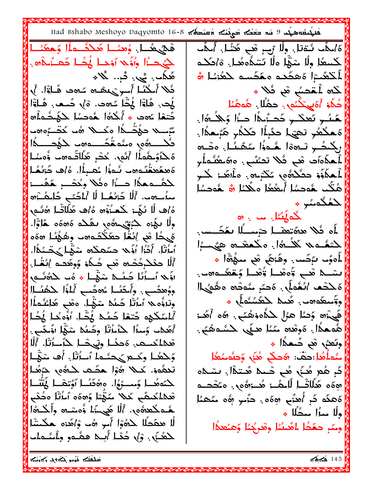Had Bshabo Meshoyo Daqyomto 16-8 ملتحله المحنوم المستعمر بالمحتفظ بن المحموم بالمعامل هَ/حدٌّب نُـقانَل. وِلَّا رُّبِ هُي هَتُـل. /ُـدُّب فَحَيْهَــا. وُهنُــا هَٰـحَثَــهِ/ا وَحِمَنُــا لكحدُّا وأوَّلا أوجدا هُدُا كُمُّا دَعِدٌكُّاهِ . ِكْسِعُا وِلَا سَنَّا هِ لَا تَسْدُّوهُـا. وْ/صَّدْ لمُتَكَسَرَا هَعكَده مَعَكَسِه لِمَعْزَيْنَا قُ هُكُم، سُي: قُرْ.. مُلاَّ ثَلا أَحْلَـٰل أَسوِ يَعْقَــهِ عَــهوم قَـاوَّا. ﴾ أَوْ كُلُّهُ مَنْ أَيْغَمْ مَنْ الْمُؤْمَنَ فَلَا مِنْ الْمُؤْمَنَ مِنْ الْمُؤْمَنَ مِنْ الْمُؤْمَنَ لَحْدٍ. قَاوْٓا لَخْشًا مُحْد. ۞لا حُمْدٍ. قَاوْٓا حُكُوْ أَهَا كُمُوا مِنْكُرُوهُ أَمْرَ هَسُرِ تَعكــرِ حَصَّنَــدًا صَـٰزًا وَلِكُــدًا. دَّتقا ءَهد \* أَحْدُهُ ا هُوجِسًا لِحَكْمِدَءَهُ هَـمحْمُر تَحِيْمَا حَذَبِئًا صَحْمُرٍ هَبُـممًا. ضَّــــةَ مِنْ مُشَخَّـــــە مِنْ حَدُّدَــــدُّا رِكْبِصُـِرِ نَـْ169 هُـٰدَوُّا مُنْھُبِنُـا. دِيْنَ م هَكْرُوُحِقُولُهُ أَنُومٍ. خُضْرِ هَٰلُلاَثُـوِهِ - وُوَحُـل لْمِكَاهَأَتِ هُمْ ثَلاً نَصْنُبٍ. 5% مِعْنُدَلُمٍ كَحْكَمْتُمُدُونَ لَدَوْا غُصِيلًا. ذَافَ حَزْنُكُمْ لْمَهَّأَوْ حَثَكْتُومٍ كَكْثِرِمِهِ . هَاْلَفُ: كُبِ لحَفْــهِمُا صــرُّا هفَلا وحُصّــر هَقَـــز هُنَّك هُوصُا أَعفُعُا مِيْكُمُا قُهُوصُا مىأسەم. أَلَّا خَانُعُـا لَّا أَلمَّكَب كَامغُـنَّات **کمگامئو پ** هُ/َ لَا نُمُّ: خَمْ:ُوْه هُ/َ مُكْلَاتْ اهُنُم گەلمُسًا. ما وِلًا بِّهَٰوَهِ جَمْوَى مِنْهُمٍ بِمَعْجَمٍ وَمِنَهُمْ هَاوَّا. لَم فَلا مِهَتَعْسَا دَمِسلًا بِمُكَسِب. كَيْحًا مْعِ ۚ إِنْغًا حَمَّتُكُمَّ مِنَّةٍ وَهُوَ إِنَّكَ لَمَنَ وَهُوَ الْمَرِهِ لمشملا للأله المتحصف هيجب ٱءاُتْا. أَحُاْا ٱؤَىٰ حَسَّمَكُمْ شَهْْا يَحْسُمُاْ. ءَأُهوًٮ نَبُصًٰٮ. وِقَرْئُم مَّع مَنْهُوْا ﴾ أَلَّا حدْكرِحُدُ مَنَّى حُكَّرَ وَوِهَدَهِ إِنْقُـا. ىشىك ئىب ۋەئىسا ۋۇسا ۇغۇلىمەت. اؤُلا ٱسألُّا حُسُلًا مَنْهُا ﴾ هُ- لَحَمُّسُمِ كَاحْشُمْ /نُمُّمَلُّدٍ. هَجَّرٍ مُتَمَشَّدَه هَشَّمْ } ووُهِئَبِ. وأَمَثَلَا ءُهجَبِ أَلمُوْا لِحَقُلُوا ا وَقُصِعَهُ مِنْ مِنْ الْمُعْشَفَةُ ﴾ وِلْرِؤُهِ لَا الْمَاتُلُّ ضَلَّامً مْتَهْلُ. وقْبِ هَٰائُتُواُ! أَمْسَكُهِم حَتقا حَسُك هُتْبا. ٱوْْمِحْا هُصَا فَيْءَ3 وَصَا هَزَلَ لِلْمُأَدِوْهُمَ . 50 أَهَٰذ هُمعِدًا. هُوقِدِهِ مَمْا هِيَ لِحَسَّمِعُهُ. أَهَٰلِم وَمِيزًا لِكَبْتَانًا وِجَبِيَٰكَا عَيْهَا اؤْمِنُبِي. مْحَلَّدُحِينَ وَحَدًا وَبَيْضًا حَزَّبَاتُنَا. أَلَّا ونُعبُہ مَی ضُمکُا ﴾  $\mathbb{R}$ مُعَلُّمُا: حَمَّا: 5َحَكَّى مُنَىٰ وَحِثَمِنُعُا وَحِحْمًا وِحَــم ِحَــَـمِـهُ ٱسْرَتْلَ. أُهِ مَنْهَــا تَعَفُّونَ كَلَّلَا هُوْا حَكُمَا لَحَدُّهِ لَا حَرْهُما كَرِ هُم هُـَىٰ هُـبِ شَــهِ هُـتمْلَ سَــهِ، لْكُمْعُطْ وَمُسْؤُوُّا. ۚ وَهُكُسًا ٱوُتِّصْطَ لِّتُتُّطْ ، وەَه هَلَاتْسَا لَّامِعُسْ هُرْزُوْهِ . مَحْصَد مْحَلَّكَتْتُمْ كَتَلَا مُكَيَّنًا وُهَوَّهَ ٱلْمُثَلُّ وَحُكْمٍ  $\mathbb S$ ەككە كَرەڭ ئوەرى دۇمۇر بۇ مىھئا  $\mathbb S$ هُـهكُعثُومِ. أَلَّا هَٰجِيبَهُا وُمِسْعِهِ وِأَكْتُوا يُّ ولًا مِيزًا مِيكُلا \* لًا محمَّحُلًا ۞هُوٓا أُمرٍ هُ۔ وۡ}هُنه حكَمتْنَا أوسِّرِ حمَّحًا لمعَّسُلُ وقَدِيْحُلاً وَهَنُعَدُاً لحَقَّبُ. وْلِي حُمْا أَبِيهِ فِقُدو وِلْمُتَّمَاتِ

تمنافكه كرانكم باقله الأهلة

 $\pi$ dir $\leq 145$